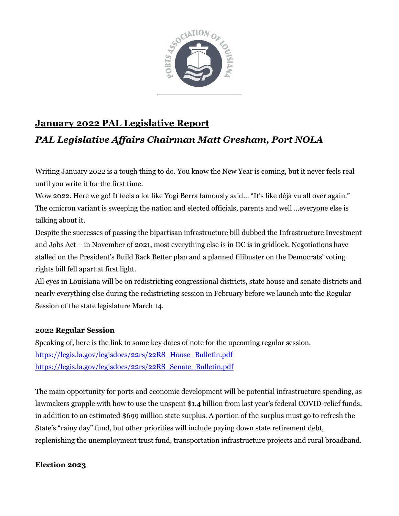

# **January 2022 PAL Legislative Report**

# *PAL Legislative Affairs Chairman Matt Gresham, Port NOLA*

Writing January 2022 is a tough thing to do. You know the New Year is coming, but it never feels real until you write it for the first time.

Wow 2022. Here we go! It feels a lot like Yogi Berra famously said… "It's like déjà vu all over again." The omicron variant is sweeping the nation and elected officials, parents and well …everyone else is talking about it.

Despite the successes of passing the bipartisan infrastructure bill dubbed the Infrastructure Investment and Jobs Act – in November of 2021, most everything else is in DC is in gridlock. Negotiations have stalled on the President's Build Back Better plan and a planned filibuster on the Democrats' voting rights bill fell apart at first light.

All eyes in Louisiana will be on redistricting congressional districts, state house and senate districts and nearly everything else during the redistricting session in February before we launch into the Regular Session of the state legislature March 14.

# **2022 Regular Session**

Speaking of, here is the link to some key dates of note for the upcoming regular session. [https://legis.la.gov/legisdocs/22rs/22RS\\_House\\_Bulletin.pdf](https://legis.la.gov/legisdocs/22rs/22RS_House_Bulletin.pdf) [https://legis.la.gov/legisdocs/22rs/22RS\\_Senate\\_Bulletin.pdf](https://legis.la.gov/legisdocs/22rs/22RS_Senate_Bulletin.pdf)

The main opportunity for ports and economic development will be potential infrastructure spending, as lawmakers grapple with how to use the unspent \$1.4 billion from last year's federal COVID-relief funds, in addition to an estimated \$699 million state surplus. A portion of the surplus must go to refresh the State's "rainy day" fund, but other priorities will include paying down state retirement debt, replenishing the unemployment trust fund, transportation infrastructure projects and rural broadband.

# **Election 2023**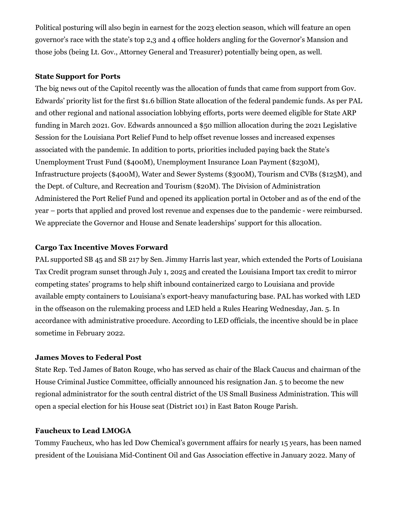Political posturing will also begin in earnest for the 2023 election season, which will feature an open governor's race with the state's top 2,3 and 4 office holders angling for the Governor's Mansion and those jobs (being Lt. Gov., Attorney General and Treasurer) potentially being open, as well.

#### **State Support for Ports**

The big news out of the Capitol recently was the allocation of funds that came from support from Gov. Edwards' priority list for the first \$1.6 billion State allocation of the federal pandemic funds. As per PAL and other regional and national association lobbying efforts, ports were deemed eligible for State ARP funding in March 2021. Gov. Edwards announced a \$50 million allocation during the 2021 Legislative Session for the Louisiana Port Relief Fund to help offset revenue losses and increased expenses associated with the pandemic. In addition to ports, priorities included paying back the State's Unemployment Trust Fund (\$400M), Unemployment Insurance Loan Payment (\$230M), Infrastructure projects (\$400M), Water and Sewer Systems (\$300M), Tourism and CVBs (\$125M), and the Dept. of Culture, and Recreation and Tourism (\$20M). The Division of Administration Administered the Port Relief Fund and opened its application portal in October and as of the end of the year – ports that applied and proved lost revenue and expenses due to the pandemic - were reimbursed. We appreciate the Governor and House and Senate leaderships' support for this allocation.

#### **Cargo Tax Incentive Moves Forward**

PAL supported SB 45 and SB 217 by Sen. Jimmy Harris last year, which extended the Ports of Louisiana Tax Credit program sunset through July 1, 2025 and created the Louisiana Import tax credit to mirror competing states' programs to help shift inbound containerized cargo to Louisiana and provide available empty containers to Louisiana's export-heavy manufacturing base. PAL has worked with LED in the offseason on the rulemaking process and LED held a Rules Hearing Wednesday, Jan. 5. In accordance with administrative procedure. According to LED officials, the incentive should be in place sometime in February 2022.

#### **James Moves to Federal Post**

State Rep. Ted James of Baton Rouge, who has served as chair of the Black Caucus and chairman of the House Criminal Justice Committee, officially announced his resignation Jan. 5 to become the new regional administrator for the south central district of the US Small Business Administration. This will open a special election for his House seat (District 101) in East Baton Rouge Parish.

#### **Faucheux to Lead LMOGA**

Tommy Faucheux, who has led Dow Chemical's government affairs for nearly 15 years, has been named president of the Louisiana Mid-Continent Oil and Gas Association effective in January 2022. Many of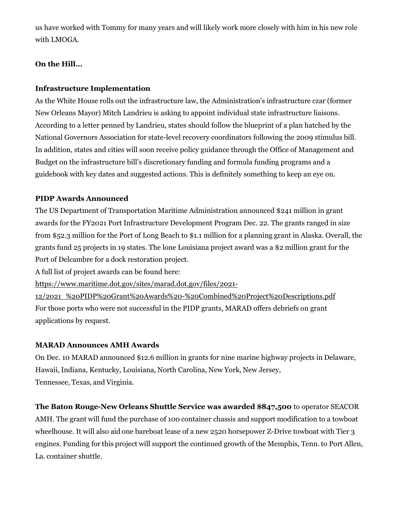us have worked with Tommy for many years and will likely work more closely with him in his new role with LMOGA.

# **On the Hill…**

## **Infrastructure Implementation**

As the White House rolls out the infrastructure law, the Administration's infrastructure czar (former New Orleans Mayor) Mitch Landrieu is asking to appoint individual state infrastructure liaisons. According to a letter penned by Landrieu, states should follow the blueprint of a plan hatched by the National Governors Association for state-level recovery coordinators following the 2009 stimulus bill. In addition, states and cities will soon receive policy guidance through the Office of Management and Budget on the infrastructure bill's discretionary funding and formula funding programs and a guidebook with key dates and suggested actions. This is definitely something to keep an eye on.

## **PIDP Awards Announced**

The US Department of Transportation Maritime Administration announced \$241 million in grant awards for the FY2021 Port Infrastructure Development Program Dec. 22. The grants ranged in size from \$52.3 million for the Port of Long Beach to \$1.1 million for a planning grant in Alaska. Overall, the grants fund 25 projects in 19 states. The lone Louisiana project award was a \$2 million grant for the Port of Delcambre for a dock restoration project.

A full list of project awards can be found here:

[https://www.maritime.dot.gov/sites/marad.dot.gov/files/2021-](https://www.maritime.dot.gov/sites/marad.dot.gov/files/2021-12/2021_%20PIDP%20Grant%20Awards%20-%20Combined%20Project%20Descriptions.pdf)

[12/2021\\_%20PIDP%20Grant%20Awards%20-%20Combined%20Project%20Descriptions.pdf](https://www.maritime.dot.gov/sites/marad.dot.gov/files/2021-12/2021_%20PIDP%20Grant%20Awards%20-%20Combined%20Project%20Descriptions.pdf) For those ports who were not successful in the PIDP grants, MARAD offers debriefs on grant applications by request.

#### **MARAD Announces AMH Awards**

On Dec. 10 MARAD announced \$12.6 million in grants for nine marine highway projects in Delaware, Hawaii, Indiana, Kentucky, Louisiana, North Carolina, New York, New Jersey, Tennessee, Texas, and Virginia.

**The Baton Rouge-New Orleans Shuttle Service was awarded \$847,500** to operator SEACOR AMH. The grant will fund the purchase of 100 container chassis and support modification to a towboat wheelhouse. It will also aid one bareboat lease of a new 2520 horsepower Z-Drive towboat with Tier 3 engines. Funding for this project will support the continued growth of the Memphis, Tenn. to Port Allen, La. container shuttle.